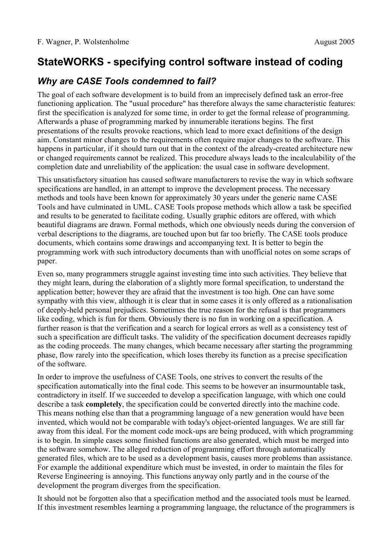# **StateWORKS - specifying control software instead of coding**

### *Why are CASE Tools condemned to fail?*

The goal of each software development is to build from an imprecisely defined task an error-free functioning application. The "usual procedure" has therefore always the same characteristic features: first the specification is analyzed for some time, in order to get the formal release of programming. Afterwards a phase of programming marked by innumerable iterations begins. The first presentations of the results provoke reactions, which lead to more exact definitions of the design aim. Constant minor changes to the requirements often require major changes to the software. This happens in particular, if it should turn out that in the context of the already-created architecture new or changed requirements cannot be realized. This procedure always leads to the incalculability of the completion date and unreliability of the application: the usual case in software development.

This unsatisfactory situation has caused software manufacturers to revise the way in which software specifications are handled, in an attempt to improve the development process. The necessary methods and tools have been known for approximately 30 years under the generic name CASE Tools and have culminated in UML. CASE Tools propose methods which allow a task be specified and results to be generated to facilitate coding. Usually graphic editors are offered, with which beautiful diagrams are drawn. Formal methods, which one obviously needs during the conversion of verbal descriptions to the diagrams, are touched upon but far too briefly. The CASE tools produce documents, which contains some drawings and accompanying text. It is better to begin the programming work with such introductory documents than with unofficial notes on some scraps of paper.

Even so, many programmers struggle against investing time into such activities. They believe that they might learn, during the elaboration of a slightly more formal specification, to understand the application better; however they are afraid that the investment is too high. One can have some sympathy with this view, although it is clear that in some cases it is only offered as a rationalisation of deeply-held personal prejudices. Sometimes the true reason for the refusal is that programmers like coding, which is fun for them. Obviously there is no fun in working on a specification. A further reason is that the verification and a search for logical errors as well as a consistency test of such a specification are difficult tasks. The validity of the specification document decreases rapidly as the coding proceeds. The many changes, which became necessary after starting the programming phase, flow rarely into the specification, which loses thereby its function as a precise specification of the software.

In order to improve the usefulness of CASE Tools, one strives to convert the results of the specification automatically into the final code. This seems to be however an insurmountable task, contradictory in itself. If we succeeded to develop a specification language, with which one could describe a task **completely**, the specification could be converted directly into the machine code. This means nothing else than that a programming language of a new generation would have been invented, which would not be comparable with today's object-oriented languages. We are still far away from this ideal. For the moment code mock-ups are being produced, with which programming is to begin. In simple cases some finished functions are also generated, which must be merged into the software somehow. The alleged reduction of programming effort through automatically generated files, which are to be used as a development basis, causes more problems than assistance. For example the additional expenditure which must be invested, in order to maintain the files for Reverse Engineering is annoying. This functions anyway only partly and in the course of the development the program diverges from the specification.

It should not be forgotten also that a specification method and the associated tools must be learned. If this investment resembles learning a programming language, the reluctance of the programmers is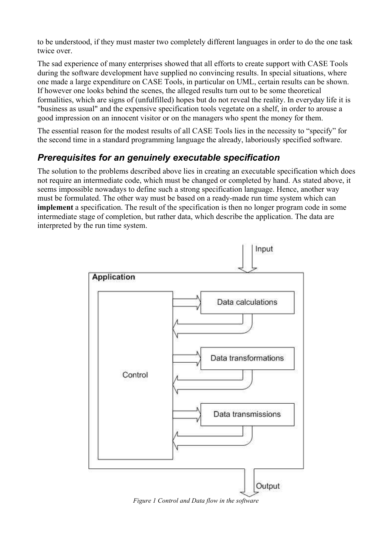to be understood, if they must master two completely different languages in order to do the one task twice over.

The sad experience of many enterprises showed that all efforts to create support with CASE Tools during the software development have supplied no convincing results. In special situations, where one made a large expenditure on CASE Tools, in particular on UML, certain results can be shown. If however one looks behind the scenes, the alleged results turn out to be some theoretical formalities, which are signs of (unfulfilled) hopes but do not reveal the reality. In everyday life it is "business as usual" and the expensive specification tools vegetate on a shelf, in order to arouse a good impression on an innocent visitor or on the managers who spent the money for them.

The essential reason for the modest results of all CASE Tools lies in the necessity to "specify" for the second time in a standard programming language the already, laboriously specified software.

## *Prerequisites for an genuinely executable specification*

The solution to the problems described above lies in creating an executable specification which does not require an intermediate code, which must be changed or completed by hand. As stated above, it seems impossible nowadays to define such a strong specification language. Hence, another way must be formulated. The other way must be based on a ready-made run time system which can **implement** a specification. The result of the specification is then no longer program code in some intermediate stage of completion, but rather data, which describe the application. The data are interpreted by the run time system.



*Figure 1 Control and Data flow in the software*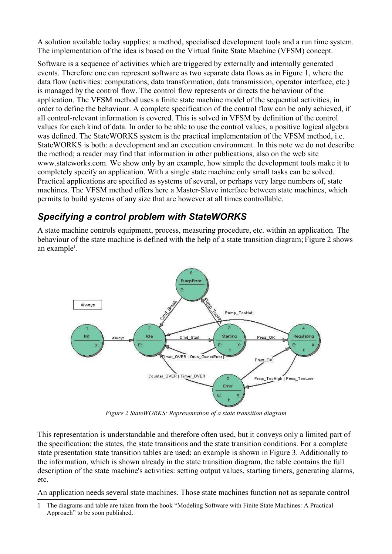A solution available today supplies: a method, specialised development tools and a run time system. The implementation of the idea is based on the Virtual finite State Machine (VFSM) concept.

Software is a sequence of activities which are triggered by externally and internally generated events. Therefore one can represent software as two separate data flows as in Figure 1, where the data flow (activities: computations, data transformation, data transmission, operator interface, etc.) is managed by the control flow. The control flow represents or directs the behaviour of the application. The VFSM method uses a finite state machine model of the sequential activities, in order to define the behaviour. A complete specification of the control flow can be only achieved, if all control-relevant information is covered. This is solved in VFSM by definition of the control values for each kind of data. In order to be able to use the control values, a positive logical algebra was defined. The StateWORKS system is the practical implementation of the VFSM method, i.e. StateWORKS is both: a development and an execution environment. In this note we do not describe the method; a reader may find that information in other publications, also on the web site www.stateworks.com. We show only by an example, how simple the development tools make it to completely specify an application. With a single state machine only small tasks can be solved. Practical applications are specified as systems of several, or perhaps very large numbers of, state machines. The VFSM method offers here a Master-Slave interface between state machines, which permits to build systems of any size that are however at all times controllable.

### *Specifying a control problem with StateWORKS*

A state machine controls equipment, process, measuring procedure, etc. within an application. The behaviour of the state machine is defined with the help of a state transition diagram; Figure 2 shows an example<sup>1</sup>.



*Figure 2 StateWORKS: Representation of a state transition diagram*

This representation is understandable and therefore often used, but it conveys only a limited part of the specification: the states, the state transitions and the state transition conditions. For a complete state presentation state transition tables are used; an example is shown in Figure 3. Additionally to the information, which is shown already in the state transition diagram, the table contains the full description of the state machine's activities: setting output values, starting timers, generating alarms, etc.

An application needs several state machines. Those state machines function not as separate control

<sup>1</sup> The diagrams and table are taken from the book "Modeling Software with Finite State Machines: A Practical Approach" to be soon published.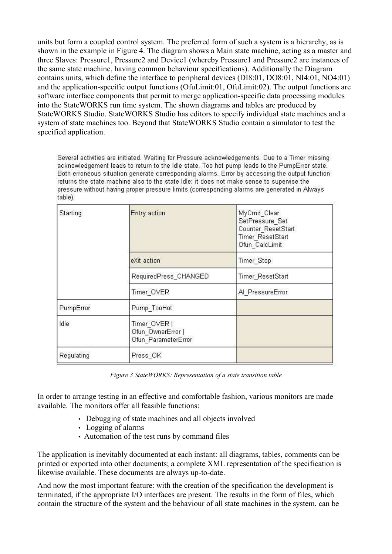units but form a coupled control system. The preferred form of such a system is a hierarchy, as is shown in the example in Figure 4. The diagram shows a Main state machine, acting as a master and three Slaves: Pressure1, Pressure2 and Device1 (whereby Pressure1 and Pressure2 are instances of the same state machine, having common behaviour specifications). Additionally the Diagram contains units, which define the interface to peripheral devices (DI8:01, DO8:01, NI4:01, NO4:01) and the application-specific output functions (OfuLimit:01, OfuLimit:02). The output functions are software interface components that permit to merge application-specific data processing modules into the StateWORKS run time system. The shown diagrams and tables are produced by StateWORKS Studio. StateWORKS Studio has editors to specify individual state machines and a system of state machines too. Beyond that StateWORKS Studio contain a simulator to test the specified application.

Several activities are initiated. Waiting for Pressure acknowledgements. Due to a Timer missing acknowledgement leads to return to the Idle state. Too hot pump leads to the PumpError state. Both erroneous situation generate corresponding alarms. Error by accessing the output function returns the state machine also to the state Idle: it does not make sense to supervise the pressure without having proper pressure limits (corresponding alarms are generated in Always table).

| Starting   | Entry action                                             | MyCmd Clear<br>SetPressure Set<br>Counter ResetStart<br>Timer ResetStart<br>Ofun CalcLimit |
|------------|----------------------------------------------------------|--------------------------------------------------------------------------------------------|
|            | eXit action                                              | Timer Stop                                                                                 |
|            | RequiredPress CHANGED                                    | Timer ResetStart                                                                           |
|            | Timer OVER                                               | Al PressureError                                                                           |
| PumpError  | Pump_TooHot                                              |                                                                                            |
| Idle       | Timer_OVER  <br>Ofun OwnerError  <br>Ofun_ParameterError |                                                                                            |
| Regulating | Press OK                                                 |                                                                                            |

*Figure 3 StateWORKS: Representation of a state transition table*

In order to arrange testing in an effective and comfortable fashion, various monitors are made available. The monitors offer all feasible functions:

- Debugging of state machines and all objects involved
- Logging of alarms
- Automation of the test runs by command files

The application is inevitably documented at each instant: all diagrams, tables, comments can be printed or exported into other documents; a complete XML representation of the specification is likewise available. These documents are always up-to-date.

And now the most important feature: with the creation of the specification the development is terminated, if the appropriate I/O interfaces are present. The results in the form of files, which contain the structure of the system and the behaviour of all state machines in the system, can be